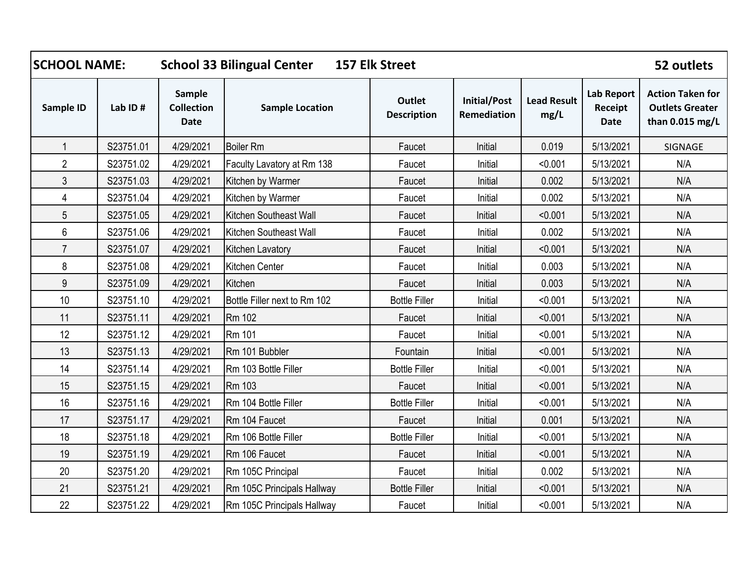| <b>SCHOOL NAME:</b> |           |                                            | <b>School 33 Bilingual Center</b><br><b>157 Elk Street</b> |                                     |                             |                            | 52 outlets                                  |                                                                      |
|---------------------|-----------|--------------------------------------------|------------------------------------------------------------|-------------------------------------|-----------------------------|----------------------------|---------------------------------------------|----------------------------------------------------------------------|
| <b>Sample ID</b>    | Lab ID#   | Sample<br><b>Collection</b><br><b>Date</b> | <b>Sample Location</b>                                     | <b>Outlet</b><br><b>Description</b> | Initial/Post<br>Remediation | <b>Lead Result</b><br>mg/L | <b>Lab Report</b><br>Receipt<br><b>Date</b> | <b>Action Taken for</b><br><b>Outlets Greater</b><br>than 0.015 mg/L |
| 1                   | S23751.01 | 4/29/2021                                  | <b>Boiler Rm</b>                                           | Faucet                              | Initial                     | 0.019                      | 5/13/2021                                   | SIGNAGE                                                              |
| $\overline{2}$      | S23751.02 | 4/29/2021                                  | Faculty Lavatory at Rm 138                                 | Faucet                              | Initial                     | < 0.001                    | 5/13/2021                                   | N/A                                                                  |
| $\mathfrak{Z}$      | S23751.03 | 4/29/2021                                  | Kitchen by Warmer                                          | Faucet                              | Initial                     | 0.002                      | 5/13/2021                                   | N/A                                                                  |
| $\overline{4}$      | S23751.04 | 4/29/2021                                  | Kitchen by Warmer                                          | Faucet                              | Initial                     | 0.002                      | 5/13/2021                                   | N/A                                                                  |
| 5                   | S23751.05 | 4/29/2021                                  | Kitchen Southeast Wall                                     | Faucet                              | Initial                     | < 0.001                    | 5/13/2021                                   | N/A                                                                  |
| $6\,$               | S23751.06 | 4/29/2021                                  | Kitchen Southeast Wall                                     | Faucet                              | Initial                     | 0.002                      | 5/13/2021                                   | N/A                                                                  |
| $\overline{7}$      | S23751.07 | 4/29/2021                                  | <b>Kitchen Lavatory</b>                                    | Faucet                              | Initial                     | < 0.001                    | 5/13/2021                                   | N/A                                                                  |
| 8                   | S23751.08 | 4/29/2021                                  | Kitchen Center                                             | Faucet                              | Initial                     | 0.003                      | 5/13/2021                                   | N/A                                                                  |
| $9\,$               | S23751.09 | 4/29/2021                                  | Kitchen                                                    | Faucet                              | Initial                     | 0.003                      | 5/13/2021                                   | N/A                                                                  |
| 10                  | S23751.10 | 4/29/2021                                  | Bottle Filler next to Rm 102                               | <b>Bottle Filler</b>                | Initial                     | < 0.001                    | 5/13/2021                                   | N/A                                                                  |
| 11                  | S23751.11 | 4/29/2021                                  | Rm 102                                                     | Faucet                              | Initial                     | < 0.001                    | 5/13/2021                                   | N/A                                                                  |
| 12                  | S23751.12 | 4/29/2021                                  | <b>Rm 101</b>                                              | Faucet                              | Initial                     | < 0.001                    | 5/13/2021                                   | N/A                                                                  |
| 13                  | S23751.13 | 4/29/2021                                  | Rm 101 Bubbler                                             | Fountain                            | Initial                     | < 0.001                    | 5/13/2021                                   | N/A                                                                  |
| 14                  | S23751.14 | 4/29/2021                                  | Rm 103 Bottle Filler                                       | <b>Bottle Filler</b>                | Initial                     | < 0.001                    | 5/13/2021                                   | N/A                                                                  |
| 15                  | S23751.15 | 4/29/2021                                  | Rm 103                                                     | Faucet                              | Initial                     | < 0.001                    | 5/13/2021                                   | N/A                                                                  |
| 16                  | S23751.16 | 4/29/2021                                  | Rm 104 Bottle Filler                                       | <b>Bottle Filler</b>                | Initial                     | < 0.001                    | 5/13/2021                                   | N/A                                                                  |
| 17                  | S23751.17 | 4/29/2021                                  | Rm 104 Faucet                                              | Faucet                              | Initial                     | 0.001                      | 5/13/2021                                   | N/A                                                                  |
| 18                  | S23751.18 | 4/29/2021                                  | Rm 106 Bottle Filler                                       | <b>Bottle Filler</b>                | Initial                     | < 0.001                    | 5/13/2021                                   | N/A                                                                  |
| 19                  | S23751.19 | 4/29/2021                                  | Rm 106 Faucet                                              | Faucet                              | Initial                     | < 0.001                    | 5/13/2021                                   | N/A                                                                  |
| 20                  | S23751.20 | 4/29/2021                                  | Rm 105C Principal                                          | Faucet                              | Initial                     | 0.002                      | 5/13/2021                                   | N/A                                                                  |
| 21                  | S23751.21 | 4/29/2021                                  | Rm 105C Principals Hallway                                 | <b>Bottle Filler</b>                | Initial                     | < 0.001                    | 5/13/2021                                   | N/A                                                                  |
| 22                  | S23751.22 | 4/29/2021                                  | Rm 105C Principals Hallway                                 | Faucet                              | Initial                     | < 0.001                    | 5/13/2021                                   | N/A                                                                  |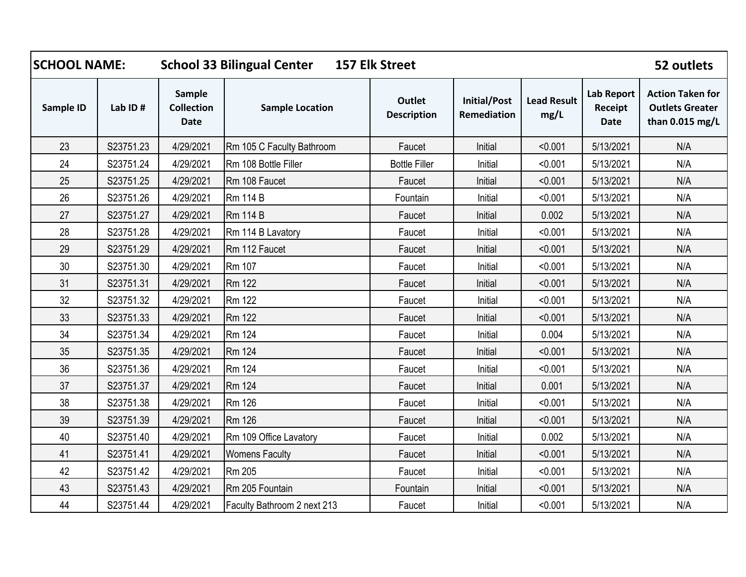| <b>SCHOOL NAME:</b> |           | <b>School 33 Bilingual Center</b><br><b>157 Elk Street</b> |                             |                              |                                    |                            |                                             | 52 outlets                                                           |
|---------------------|-----------|------------------------------------------------------------|-----------------------------|------------------------------|------------------------------------|----------------------------|---------------------------------------------|----------------------------------------------------------------------|
| Sample ID           | Lab ID#   | Sample<br><b>Collection</b><br><b>Date</b>                 | <b>Sample Location</b>      | Outlet<br><b>Description</b> | <b>Initial/Post</b><br>Remediation | <b>Lead Result</b><br>mg/L | <b>Lab Report</b><br>Receipt<br><b>Date</b> | <b>Action Taken for</b><br><b>Outlets Greater</b><br>than 0.015 mg/L |
| 23                  | S23751.23 | 4/29/2021                                                  | Rm 105 C Faculty Bathroom   | Faucet                       | Initial                            | < 0.001                    | 5/13/2021                                   | N/A                                                                  |
| 24                  | S23751.24 | 4/29/2021                                                  | Rm 108 Bottle Filler        | <b>Bottle Filler</b>         | Initial                            | < 0.001                    | 5/13/2021                                   | N/A                                                                  |
| 25                  | S23751.25 | 4/29/2021                                                  | Rm 108 Faucet               | Faucet                       | Initial                            | < 0.001                    | 5/13/2021                                   | N/A                                                                  |
| 26                  | S23751.26 | 4/29/2021                                                  | <b>Rm 114 B</b>             | Fountain                     | Initial                            | < 0.001                    | 5/13/2021                                   | N/A                                                                  |
| 27                  | S23751.27 | 4/29/2021                                                  | <b>Rm 114 B</b>             | Faucet                       | Initial                            | 0.002                      | 5/13/2021                                   | N/A                                                                  |
| 28                  | S23751.28 | 4/29/2021                                                  | Rm 114 B Lavatory           | Faucet                       | Initial                            | < 0.001                    | 5/13/2021                                   | N/A                                                                  |
| 29                  | S23751.29 | 4/29/2021                                                  | Rm 112 Faucet               | Faucet                       | Initial                            | < 0.001                    | 5/13/2021                                   | N/A                                                                  |
| 30                  | S23751.30 | 4/29/2021                                                  | Rm 107                      | Faucet                       | Initial                            | < 0.001                    | 5/13/2021                                   | N/A                                                                  |
| 31                  | S23751.31 | 4/29/2021                                                  | <b>Rm 122</b>               | Faucet                       | Initial                            | < 0.001                    | 5/13/2021                                   | N/A                                                                  |
| 32                  | S23751.32 | 4/29/2021                                                  | Rm 122                      | Faucet                       | Initial                            | < 0.001                    | 5/13/2021                                   | N/A                                                                  |
| 33                  | S23751.33 | 4/29/2021                                                  | <b>Rm 122</b>               | Faucet                       | Initial                            | < 0.001                    | 5/13/2021                                   | N/A                                                                  |
| 34                  | S23751.34 | 4/29/2021                                                  | Rm 124                      | Faucet                       | Initial                            | 0.004                      | 5/13/2021                                   | N/A                                                                  |
| 35                  | S23751.35 | 4/29/2021                                                  | <b>Rm 124</b>               | Faucet                       | Initial                            | < 0.001                    | 5/13/2021                                   | N/A                                                                  |
| 36                  | S23751.36 | 4/29/2021                                                  | Rm 124                      | Faucet                       | Initial                            | < 0.001                    | 5/13/2021                                   | N/A                                                                  |
| 37                  | S23751.37 | 4/29/2021                                                  | Rm 124                      | Faucet                       | Initial                            | 0.001                      | 5/13/2021                                   | N/A                                                                  |
| 38                  | S23751.38 | 4/29/2021                                                  | Rm 126                      | Faucet                       | Initial                            | < 0.001                    | 5/13/2021                                   | N/A                                                                  |
| 39                  | S23751.39 | 4/29/2021                                                  | <b>Rm 126</b>               | Faucet                       | Initial                            | < 0.001                    | 5/13/2021                                   | N/A                                                                  |
| 40                  | S23751.40 | 4/29/2021                                                  | Rm 109 Office Lavatory      | Faucet                       | Initial                            | 0.002                      | 5/13/2021                                   | N/A                                                                  |
| 41                  | S23751.41 | 4/29/2021                                                  | <b>Womens Faculty</b>       | Faucet                       | Initial                            | < 0.001                    | 5/13/2021                                   | N/A                                                                  |
| 42                  | S23751.42 | 4/29/2021                                                  | <b>Rm 205</b>               | Faucet                       | Initial                            | < 0.001                    | 5/13/2021                                   | N/A                                                                  |
| 43                  | S23751.43 | 4/29/2021                                                  | Rm 205 Fountain             | Fountain                     | Initial                            | < 0.001                    | 5/13/2021                                   | N/A                                                                  |
| 44                  | S23751.44 | 4/29/2021                                                  | Faculty Bathroom 2 next 213 | Faucet                       | Initial                            | < 0.001                    | 5/13/2021                                   | N/A                                                                  |